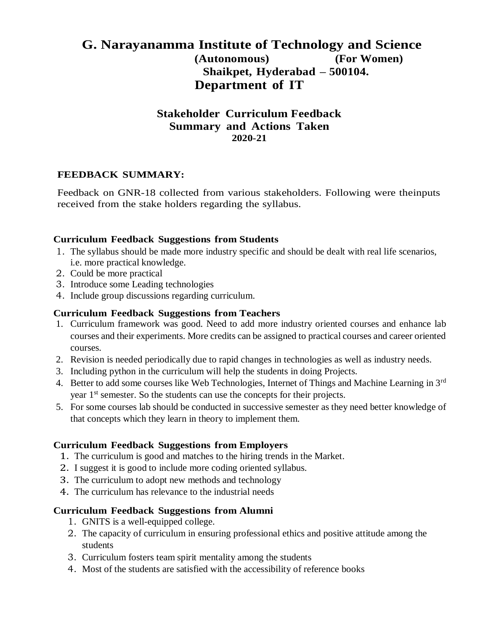# **G. Narayanamma Institute of Technology and Science (Autonomous) (For Women) Shaikpet, Hyderabad – 500104. Department of IT**

## **Stakeholder Curriculum Feedback Summary and Actions Taken 2020-21**

### **FEEDBACK SUMMARY:**

Feedback on GNR-18 collected from various stakeholders. Following were theinputs received from the stake holders regarding the syllabus.

#### **Curriculum Feedback Suggestions from Students**

- 1. The syllabus should be made more industry specific and should be dealt with real life scenarios, i.e. more practical knowledge.
- 2. Could be more practical
- 3. Introduce some Leading technologies
- 4. Include group discussions regarding curriculum.

#### **Curriculum Feedback Suggestions from Teachers**

- 1. Curriculum framework was good. Need to add more industry oriented courses and enhance lab courses and their experiments. More credits can be assigned to practical courses and career oriented courses.
- 2. Revision is needed periodically due to rapid changes in technologies as well as industry needs.
- 3. Including python in the curriculum will help the students in doing Projects.
- 4. Better to add some courses like Web Technologies, Internet of Things and Machine Learning in 3<sup>rd</sup> year 1<sup>st</sup> semester. So the students can use the concepts for their projects.
- 5. For some courses lab should be conducted in successive semester as they need better knowledge of that concepts which they learn in theory to implement them.

#### **Curriculum Feedback Suggestions from Employers**

- 1. The curriculum is good and matches to the hiring trends in the Market.
- 2. I suggest it is good to include more coding oriented syllabus.
- 3. The curriculum to adopt new methods and technology
- 4. The curriculum has relevance to the industrial needs

#### **Curriculum Feedback Suggestions from Alumni**

- 1. GNITS is a well-equipped college.
- 2. The capacity of curriculum in ensuring professional ethics and positive attitude among the students
- 3. Curriculum fosters team spirit mentality among the students
- 4. Most of the students are satisfied with the accessibility of reference books